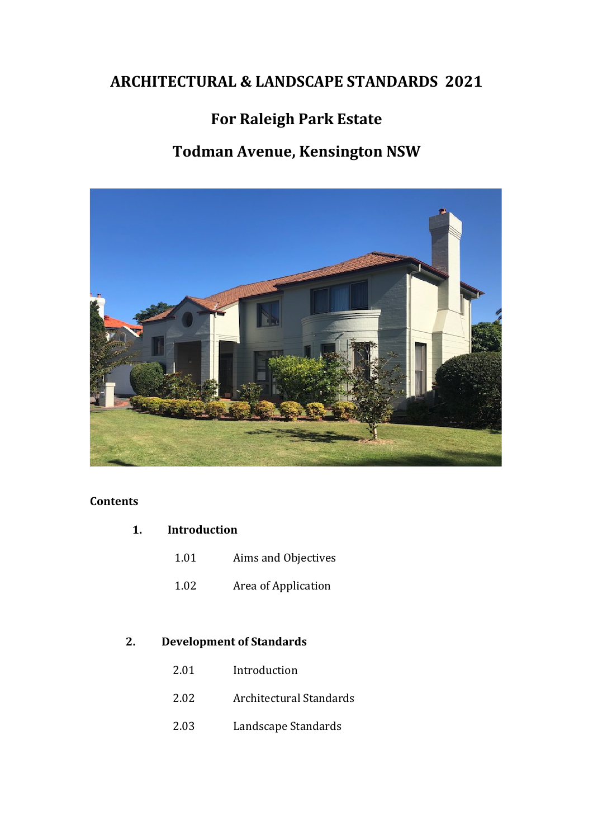# **ARCHITECTURAL & LANDSCAPE STANDARDS 2021**

# **For Raleigh Park Estate**

# **Todman Avenue, Kensington NSW**



# **Contents**

- **1. Introduction**
	- 1.01 Aims and Objectives
	- 1.02 Area of Application

# **2. Development of Standards**

- 2.01 Introduction
- 2.02 Architectural Standards
- 2.03 Landscape Standards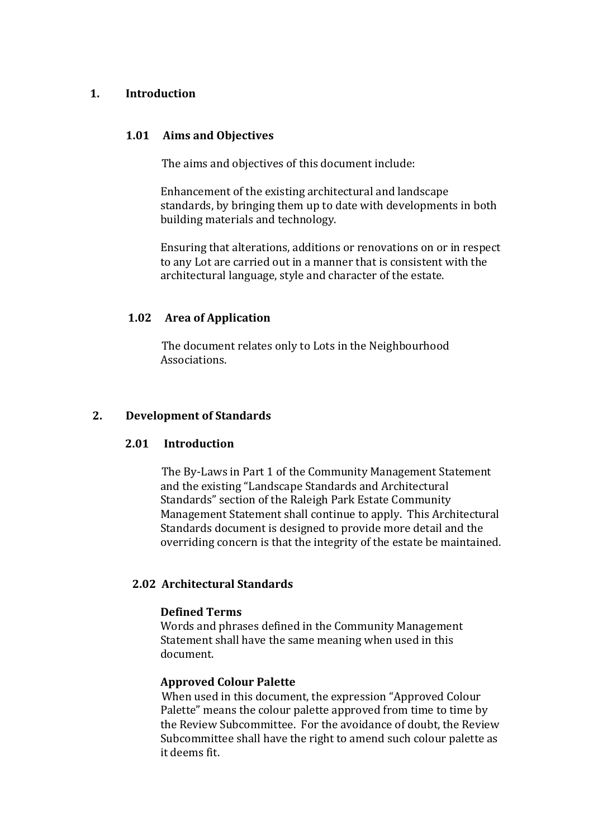### **1. Introduction**

#### **1.01 Aims and Objectives**

The aims and objectives of this document include:

Enhancement of the existing architectural and landscape standards, by bringing them up to date with developments in both building materials and technology.

Ensuring that alterations, additions or renovations on or in respect to any Lot are carried out in a manner that is consistent with the architectural language, style and character of the estate.

## **1.02 Area of Application**

The document relates only to Lots in the Neighbourhood Associations.

### **2. Development of Standards**

#### **2.01 Introduction**

The By-Laws in Part 1 of the Community Management Statement and the existing "Landscape Standards and Architectural Standards" section of the Raleigh Park Estate Community Management Statement shall continue to apply. This Architectural Standards document is designed to provide more detail and the overriding concern is that the integrity of the estate be maintained.

## **2.02 Architectural Standards**

#### **Defined Terms**

Words and phrases defined in the Community Management Statement shall have the same meaning when used in this document.

#### **Approved Colour Palette**

When used in this document, the expression "Approved Colour Palette" means the colour palette approved from time to time by the Review Subcommittee. For the avoidance of doubt, the Review Subcommittee shall have the right to amend such colour palette as it deems fit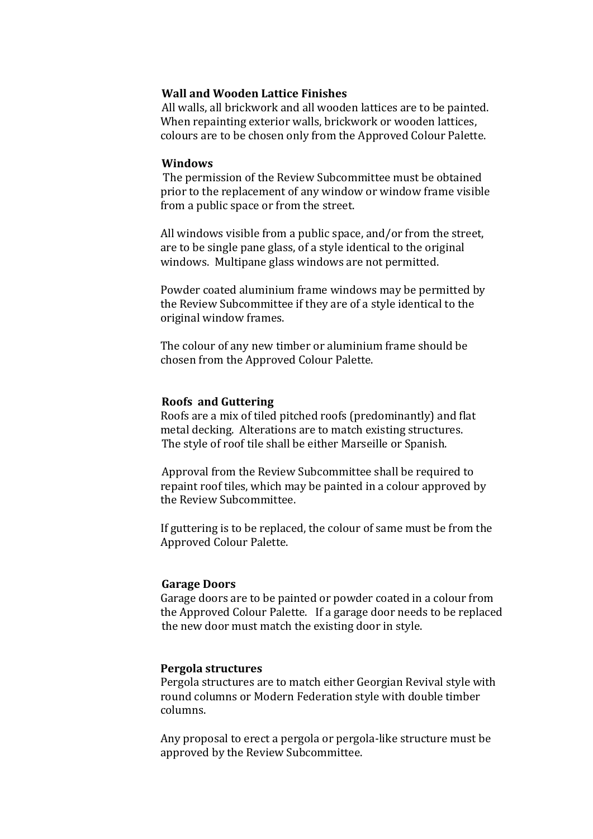### **Wall and Wooden Lattice Finishes**

All walls, all brickwork and all wooden lattices are to be painted. When repainting exterior walls, brickwork or wooden lattices, colours are to be chosen only from the Approved Colour Palette.

#### **Windows**

The permission of the Review Subcommittee must be obtained prior to the replacement of any window or window frame visible from a public space or from the street.

All windows visible from a public space, and/or from the street, are to be single pane glass, of a style identical to the original windows. Multipane glass windows are not permitted.

Powder coated aluminium frame windows may be permitted by the Review Subcommittee if they are of a style identical to the original window frames.

The colour of any new timber or aluminium frame should be chosen from the Approved Colour Palette.

#### **Roofs and Guttering**

Roofs are a mix of tiled pitched roofs (predominantly) and flat metal decking. Alterations are to match existing structures. The style of roof tile shall be either Marseille or Spanish.

Approval from the Review Subcommittee shall be required to repaint roof tiles, which may be painted in a colour approved by the Review Subcommittee.

If guttering is to be replaced, the colour of same must be from the Approved Colour Palette.

#### **Garage Doors**

Garage doors are to be painted or powder coated in a colour from the Approved Colour Palette. If a garage door needs to be replaced the new door must match the existing door in style.

#### **Pergola structures**

Pergola structures are to match either Georgian Revival style with round columns or Modern Federation style with double timber columns. 

Any proposal to erect a pergola or pergola-like structure must be approved by the Review Subcommittee.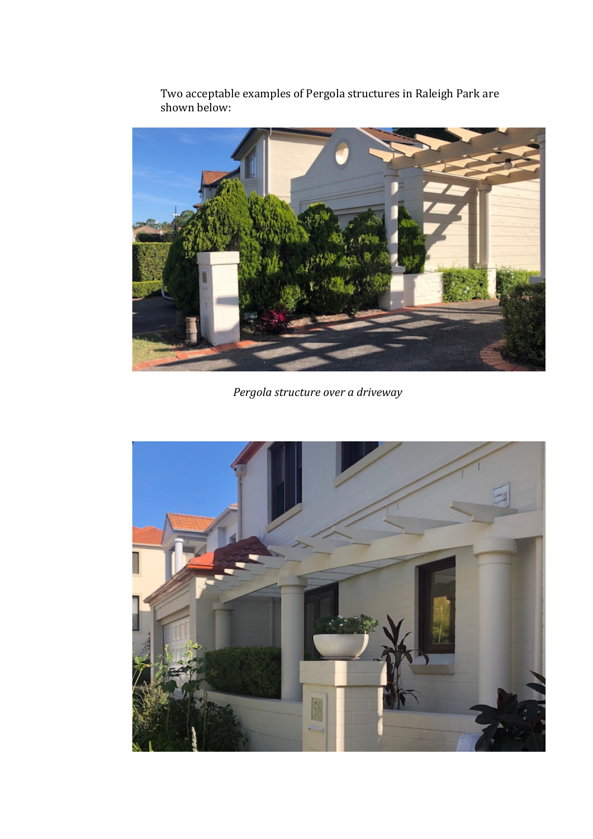

Two acceptable examples of Pergola structures in Raleigh Park are shown below:

*Pergola structure over a driveway*

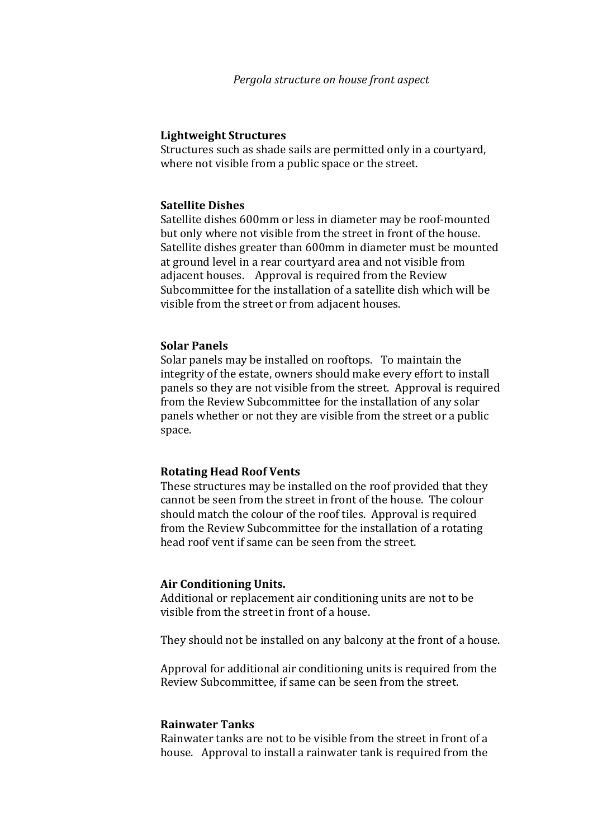#### **Lightweight Structures**

Structures such as shade sails are permitted only in a courtyard, where not visible from a public space or the street.

#### **Satellite Dishes**

Satellite dishes 600mm or less in diameter may be roof-mounted but only where not visible from the street in front of the house. Satellite dishes greater than 600mm in diameter must be mounted at ground level in a rear courtyard area and not visible from adjacent houses. Approval is required from the Review Subcommittee for the installation of a satellite dish which will be visible from the street or from adjacent houses.

#### **Solar Panels**

Solar panels may be installed on rooftops. To maintain the integrity of the estate, owners should make every effort to install panels so they are not visible from the street. Approval is required from the Review Subcommittee for the installation of any solar panels whether or not they are visible from the street or a public space. 

#### **Rotating Head Roof Vents**

These structures may be installed on the roof provided that they cannot be seen from the street in front of the house. The colour should match the colour of the roof tiles. Approval is required from the Review Subcommittee for the installation of a rotating head roof vent if same can be seen from the street.

#### **Air Conditioning Units.**

Additional or replacement air conditioning units are not to be visible from the street in front of a house.

They should not be installed on any balcony at the front of a house.

Approval for additional air conditioning units is required from the Review Subcommittee, if same can be seen from the street.

#### **Rainwater Tanks**

Rainwater tanks are not to be visible from the street in front of a house. Approval to install a rainwater tank is required from the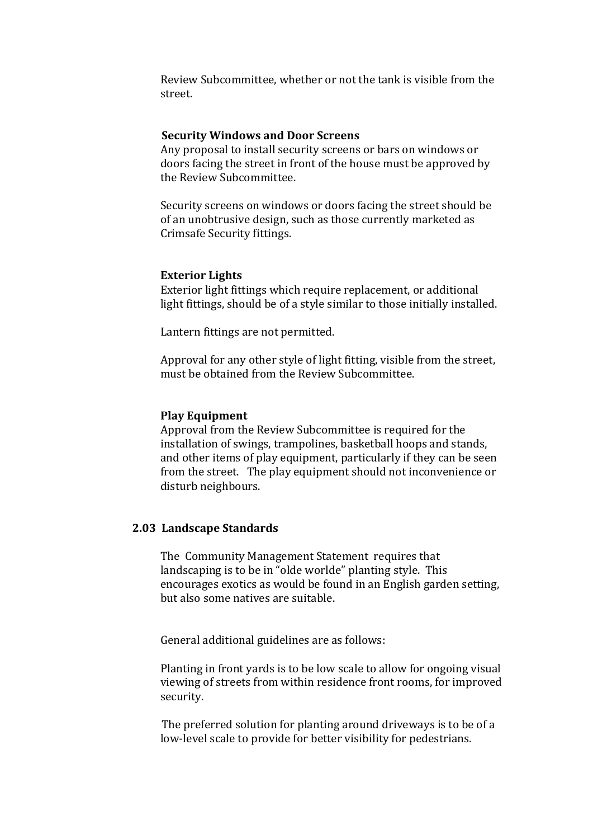Review Subcommittee, whether or not the tank is visible from the street.

#### **Security Windows and Door Screens**

Any proposal to install security screens or bars on windows or doors facing the street in front of the house must be approved by the Review Subcommittee.

Security screens on windows or doors facing the street should be of an unobtrusive design, such as those currently marketed as Crimsafe Security fittings.

#### **Exterior Lights**

Exterior light fittings which require replacement, or additional light fittings, should be of a style similar to those initially installed.

Lantern fittings are not permitted.

Approval for any other style of light fitting, visible from the street, must be obtained from the Review Subcommittee.

#### **Play Equipment**

Approval from the Review Subcommittee is required for the installation of swings, trampolines, basketball hoops and stands, and other items of play equipment, particularly if they can be seen from the street. The play equipment should not inconvenience or disturb neighbours.

#### **2.03 Landscape Standards**

The Community Management Statement requires that landscaping is to be in "olde worlde" planting style. This encourages exotics as would be found in an English garden setting, but also some natives are suitable.

General additional guidelines are as follows:

Planting in front yards is to be low scale to allow for ongoing visual viewing of streets from within residence front rooms, for improved security.

The preferred solution for planting around driveways is to be of a low-level scale to provide for better visibility for pedestrians.